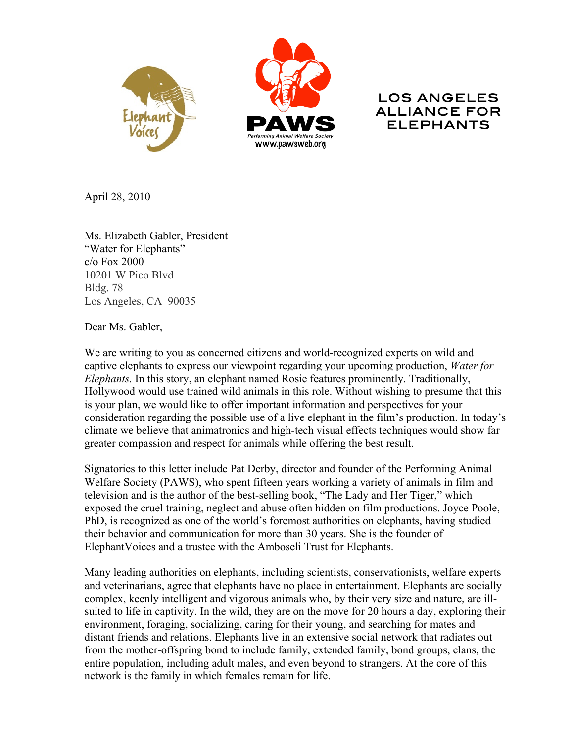



## LOS ANGELES ALLIANCE FOR ELEPHANTS

April 28, 2010

Ms. Elizabeth Gabler, President "Water for Elephants" c/o Fox 2000 10201 W Pico Blvd Bldg. 78 Los Angeles, CA 90035

Dear Ms. Gabler,

We are writing to you as concerned citizens and world-recognized experts on wild and captive elephants to express our viewpoint regarding your upcoming production, *Water for Elephants.* In this story, an elephant named Rosie features prominently. Traditionally, Hollywood would use trained wild animals in this role. Without wishing to presume that this is your plan, we would like to offer important information and perspectives for your consideration regarding the possible use of a live elephant in the film's production. In today's climate we believe that animatronics and high-tech visual effects techniques would show far greater compassion and respect for animals while offering the best result.

Signatories to this letter include Pat Derby, director and founder of the Performing Animal Welfare Society (PAWS), who spent fifteen years working a variety of animals in film and television and is the author of the best-selling book, "The Lady and Her Tiger," which exposed the cruel training, neglect and abuse often hidden on film productions. Joyce Poole, PhD, is recognized as one of the world's foremost authorities on elephants, having studied their behavior and communication for more than 30 years. She is the founder of ElephantVoices and a trustee with the Amboseli Trust for Elephants.

Many leading authorities on elephants, including scientists, conservationists, welfare experts and veterinarians, agree that elephants have no place in entertainment. Elephants are socially complex, keenly intelligent and vigorous animals who, by their very size and nature, are illsuited to life in captivity. In the wild, they are on the move for 20 hours a day, exploring their environment, foraging, socializing, caring for their young, and searching for mates and distant friends and relations. Elephants live in an extensive social network that radiates out from the mother-offspring bond to include family, extended family, bond groups, clans, the entire population, including adult males, and even beyond to strangers. At the core of this network is the family in which females remain for life.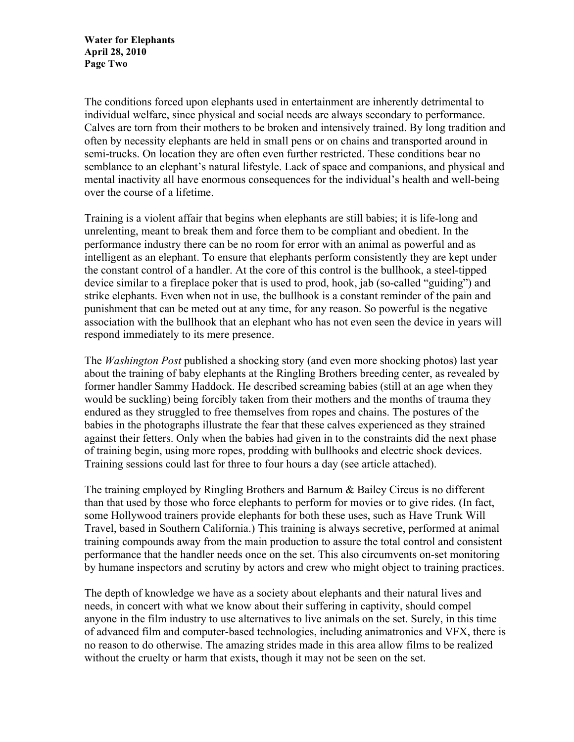**Water for Elephants April 28, 2010 Page Two**

The conditions forced upon elephants used in entertainment are inherently detrimental to individual welfare, since physical and social needs are always secondary to performance. Calves are torn from their mothers to be broken and intensively trained. By long tradition and often by necessity elephants are held in small pens or on chains and transported around in semi-trucks. On location they are often even further restricted. These conditions bear no semblance to an elephant's natural lifestyle. Lack of space and companions, and physical and mental inactivity all have enormous consequences for the individual's health and well-being over the course of a lifetime.

Training is a violent affair that begins when elephants are still babies; it is life-long and unrelenting, meant to break them and force them to be compliant and obedient. In the performance industry there can be no room for error with an animal as powerful and as intelligent as an elephant. To ensure that elephants perform consistently they are kept under the constant control of a handler. At the core of this control is the bullhook, a steel-tipped device similar to a fireplace poker that is used to prod, hook, jab (so-called "guiding") and strike elephants. Even when not in use, the bullhook is a constant reminder of the pain and punishment that can be meted out at any time, for any reason. So powerful is the negative association with the bullhook that an elephant who has not even seen the device in years will respond immediately to its mere presence.

The *Washington Post* published a shocking story (and even more shocking photos) last year about the training of baby elephants at the Ringling Brothers breeding center, as revealed by former handler Sammy Haddock. He described screaming babies (still at an age when they would be suckling) being forcibly taken from their mothers and the months of trauma they endured as they struggled to free themselves from ropes and chains. The postures of the babies in the photographs illustrate the fear that these calves experienced as they strained against their fetters. Only when the babies had given in to the constraints did the next phase of training begin, using more ropes, prodding with bullhooks and electric shock devices. Training sessions could last for three to four hours a day (see article attached).

The training employed by Ringling Brothers and Barnum & Bailey Circus is no different than that used by those who force elephants to perform for movies or to give rides. (In fact, some Hollywood trainers provide elephants for both these uses, such as Have Trunk Will Travel, based in Southern California.) This training is always secretive, performed at animal training compounds away from the main production to assure the total control and consistent performance that the handler needs once on the set. This also circumvents on-set monitoring by humane inspectors and scrutiny by actors and crew who might object to training practices.

The depth of knowledge we have as a society about elephants and their natural lives and needs, in concert with what we know about their suffering in captivity, should compel anyone in the film industry to use alternatives to live animals on the set. Surely, in this time of advanced film and computer-based technologies, including animatronics and VFX, there is no reason to do otherwise. The amazing strides made in this area allow films to be realized without the cruelty or harm that exists, though it may not be seen on the set.